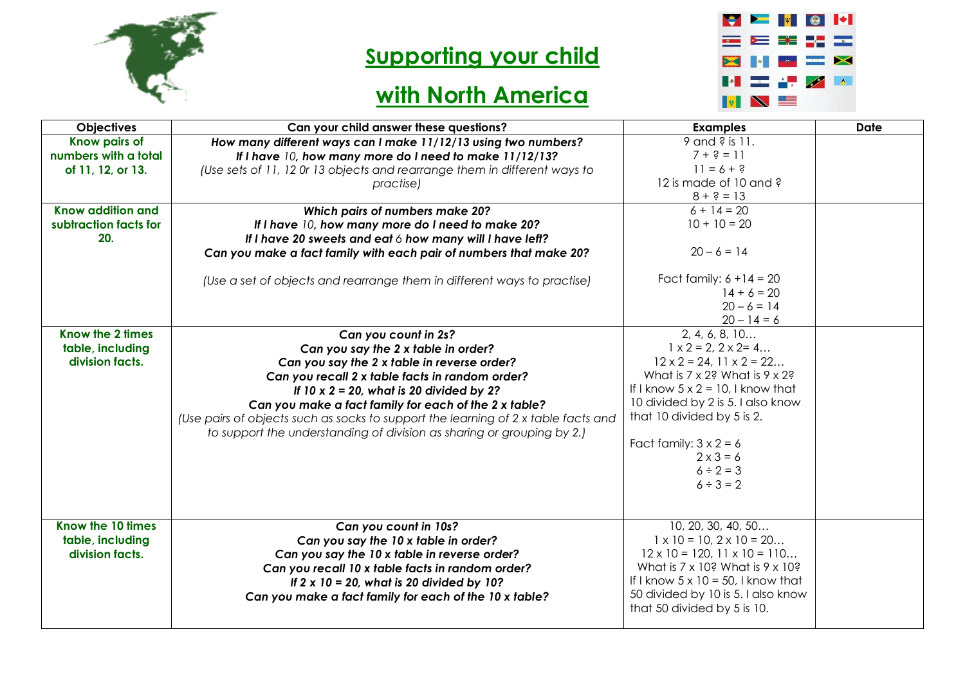

## **Supporting your child**



## **with North America**

| <b>Objectives</b>                                          | Can your child answer these questions?                                                                                                                                                                                                                                                                                                                                                                                                     | <b>Examples</b>                                                                                                                                                                                                                                                                                                                                         | <b>Date</b> |
|------------------------------------------------------------|--------------------------------------------------------------------------------------------------------------------------------------------------------------------------------------------------------------------------------------------------------------------------------------------------------------------------------------------------------------------------------------------------------------------------------------------|---------------------------------------------------------------------------------------------------------------------------------------------------------------------------------------------------------------------------------------------------------------------------------------------------------------------------------------------------------|-------------|
| Know pairs of<br>numbers with a total<br>of 11, 12, or 13. | How many different ways can I make 11/12/13 using two numbers?<br>If I have 10, how many more do I need to make 11/12/13?<br>(Use sets of 11, 12 Or 13 objects and rearrange them in different ways to<br>practise)                                                                                                                                                                                                                        | 9 and ? is 11.<br>$7 + ? = 11$<br>$11 = 6 + 9$<br>12 is made of 10 and ?<br>$8 + ? = 13$                                                                                                                                                                                                                                                                |             |
| Know addition and<br>subtraction facts for<br>20.          | Which pairs of numbers make 20?<br>If I have 10, how many more do I need to make 20?<br>If I have 20 sweets and eat 6 how many will I have left?<br>Can you make a fact family with each pair of numbers that make 20?<br>(Use a set of objects and rearrange them in different ways to practise)                                                                                                                                          | $6 + 14 = 20$<br>$10 + 10 = 20$<br>$20 - 6 = 14$<br>Fact family: $6 + 14 = 20$<br>$14 + 6 = 20$<br>$20 - 6 = 14$<br>$20 - 14 = 6$                                                                                                                                                                                                                       |             |
| Know the 2 times<br>table, including<br>division facts.    | Can you count in 2s?<br>Can you say the 2 x table in order?<br>Can you say the 2 x table in reverse order?<br>Can you recall 2 x table facts in random order?<br>If $10 \times 2 = 20$ , what is 20 divided by 2?<br>Can you make a fact family for each of the 2 x table?<br>(Use pairs of objects such as socks to support the learning of 2 x table facts and<br>to support the understanding of division as sharing or grouping by 2.) | 2, 4, 6, 8, 10<br>$1 \times 2 = 2, 2 \times 2 = 4$<br>$12 \times 2 = 24$ , $11 \times 2 = 22$<br>What is $7 \times 2$ ? What is $9 \times 2$ ?<br>If I know $5 \times 2 = 10$ , I know that<br>10 divided by 2 is 5. I also know<br>that 10 divided by 5 is 2.<br>Fact family: $3 \times 2 = 6$<br>$2 \times 3 = 6$<br>$6 \div 2 = 3$<br>$6 \div 3 = 2$ |             |
| Know the 10 times<br>table, including<br>division facts.   | Can you count in 10s?<br>Can you say the 10 x table in order?<br>Can you say the 10 x table in reverse order?<br>Can you recall 10 x table facts in random order?<br>If $2 \times 10 = 20$ , what is 20 divided by 10?<br>Can you make a fact family for each of the 10 x table?                                                                                                                                                           | 10, 20, 30, 40, 50<br>$1 \times 10 = 10, 2 \times 10 = 20$<br>$12 \times 10 = 120, 11 \times 10 = 110$<br>What is $7 \times 10$ ? What is $9 \times 10$ ?<br>If I know $5 \times 10 = 50$ , I know that<br>50 divided by 10 is 5. I also know<br>that 50 divided by 5 is 10.                                                                            |             |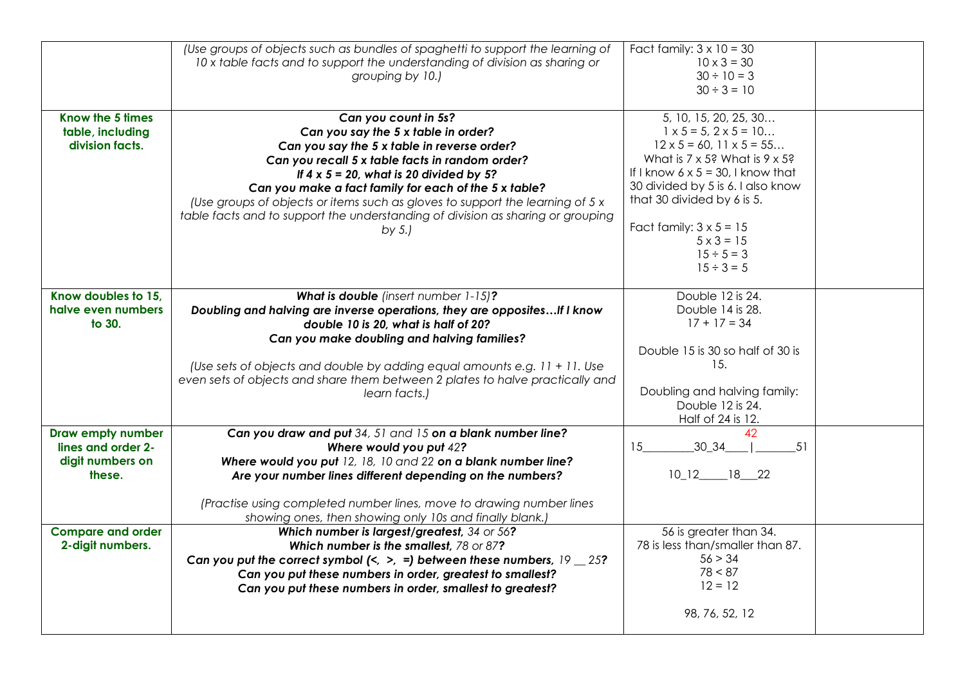|                                                                       | (Use groups of objects such as bundles of spaghetti to support the learning of<br>10 x table facts and to support the understanding of division as sharing or<br>grouping by 10.)                                                                                                                                                                                                                                                                        | Fact family: $3 \times 10 = 30$<br>$10 \times 3 = 30$<br>$30 \div 10 = 3$<br>$30 \div 3 = 10$                                                                                                                                                                                                                                                                          |  |
|-----------------------------------------------------------------------|----------------------------------------------------------------------------------------------------------------------------------------------------------------------------------------------------------------------------------------------------------------------------------------------------------------------------------------------------------------------------------------------------------------------------------------------------------|------------------------------------------------------------------------------------------------------------------------------------------------------------------------------------------------------------------------------------------------------------------------------------------------------------------------------------------------------------------------|--|
| Know the 5 times<br>table, including<br>division facts.               | Can you count in 5s?<br>Can you say the 5 x table in order?<br>Can you say the 5 x table in reverse order?<br>Can you recall 5 x table facts in random order?<br>If $4 \times 5 = 20$ , what is 20 divided by 5?<br>Can you make a fact family for each of the 5 x table?<br>(Use groups of objects or items such as gloves to support the learning of 5 x<br>table facts and to support the understanding of division as sharing or grouping<br>by $5.$ | 5, 10, 15, 20, 25, 30<br>$1 \times 5 = 5$ , $2 \times 5 = 10$<br>$12 \times 5 = 60$ , $11 \times 5 = 55$<br>What is $7 \times 5$ ? What is $9 \times 5$ ?<br>If I know $6 \times 5 = 30$ , I know that<br>30 divided by 5 is 6. I also know<br>that 30 divided by 6 is 5.<br>Fact family: $3 \times 5 = 15$<br>$5 \times 3 = 15$<br>$15 \div 5 = 3$<br>$15 \div 3 = 5$ |  |
| Know doubles to 15,<br>halve even numbers<br>to 30.                   | What is double (insert number 1-15)?<br>Doubling and halving are inverse operations, they are opposites If I know<br>double 10 is 20, what is half of 20?<br>Can you make doubling and halving families?<br>(Use sets of objects and double by adding equal amounts e.g. 11 + 11. Use<br>even sets of objects and share them between 2 plates to halve practically and<br>learn facts.)                                                                  | Double 12 is 24.<br>Double 14 is 28.<br>$17 + 17 = 34$<br>Double 15 is 30 so half of 30 is<br>15.<br>Doubling and halving family:<br>Double 12 is 24.<br>Half of 24 is 12.                                                                                                                                                                                             |  |
| Draw empty number<br>lines and order 2-<br>digit numbers on<br>these. | Can you draw and put 34, 51 and 15 on a blank number line?<br>Where would you put 42?<br>Where would you put 12, 18, 10 and 22 on a blank number line?<br>Are your number lines different depending on the numbers?<br>(Practise using completed number lines, move to drawing number lines<br>showing ones, then showing only 10s and finally blank.)                                                                                                   | 42<br>30 34<br>15<br>51<br>$10_12$ $18_22$                                                                                                                                                                                                                                                                                                                             |  |
| <b>Compare and order</b><br>2-digit numbers.                          | Which number is largest/greatest, 34 or 56?<br>Which number is the smallest, 78 or 87?<br>Can you put the correct symbol $\left\langle \langle \rangle \rangle \right\rangle = 1$ between these numbers, $19 \le 25$ ?<br>Can you put these numbers in order, greatest to smallest?<br>Can you put these numbers in order, smallest to greatest?                                                                                                         | 56 is greater than 34.<br>78 is less than/smaller than 87.<br>56 > 34<br>78 < 87<br>$12 = 12$<br>98, 76, 52, 12                                                                                                                                                                                                                                                        |  |